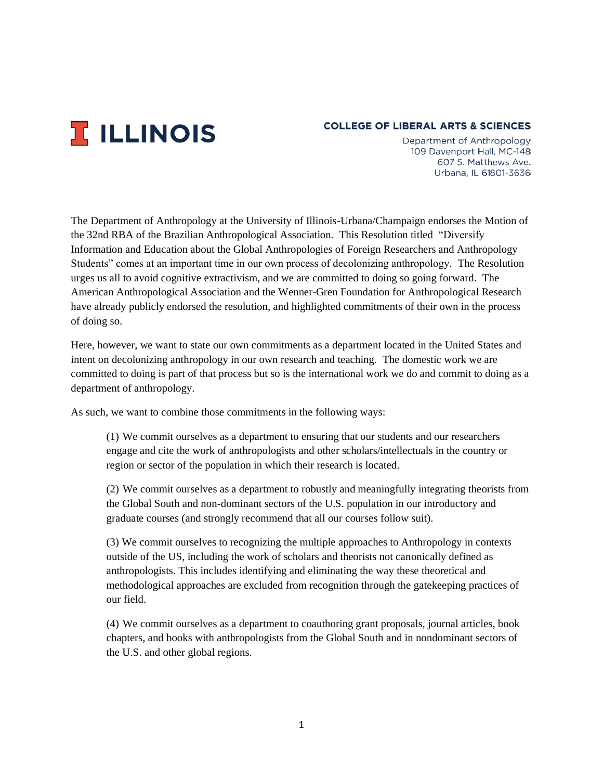

## **COLLEGE OF LIBERAL ARTS & SCIENCES**

Department of Anthropology 109 Davenport Hall, MC-148 607 S. Matthews Ave. Urbana. IL 61801-3636

The Department of Anthropology at the University of Illinois-Urbana/Champaign endorses the Motion of the 32nd RBA of the Brazilian Anthropological Association. This Resolution titled "Diversify Information and Education about the Global Anthropologies of Foreign Researchers and Anthropology Students" comes at an important time in our own process of decolonizing anthropology. The Resolution urges us all to avoid cognitive extractivism, and we are committed to doing so going forward. The American Anthropological Association and the Wenner-Gren Foundation for Anthropological Research have already publicly endorsed the resolution, and highlighted commitments of their own in the process of doing so.

Here, however, we want to state our own commitments as a department located in the United States and intent on decolonizing anthropology in our own research and teaching. The domestic work we are committed to doing is part of that process but so is the international work we do and commit to doing as a department of anthropology.

As such, we want to combine those commitments in the following ways:

(1) We commit ourselves as a department to ensuring that our students and our researchers engage and cite the work of anthropologists and other scholars/intellectuals in the country or region or sector of the population in which their research is located.

(2) We commit ourselves as a department to robustly and meaningfully integrating theorists from the Global South and non-dominant sectors of the U.S. population in our introductory and graduate courses (and strongly recommend that all our courses follow suit).

(3) We commit ourselves to recognizing the multiple approaches to Anthropology in contexts outside of the US, including the work of scholars and theorists not canonically defined as anthropologists. This includes identifying and eliminating the way these theoretical and methodological approaches are excluded from recognition through the gatekeeping practices of our field.

(4) We commit ourselves as a department to coauthoring grant proposals, journal articles, book chapters, and books with anthropologists from the Global South and in nondominant sectors of the U.S. and other global regions.